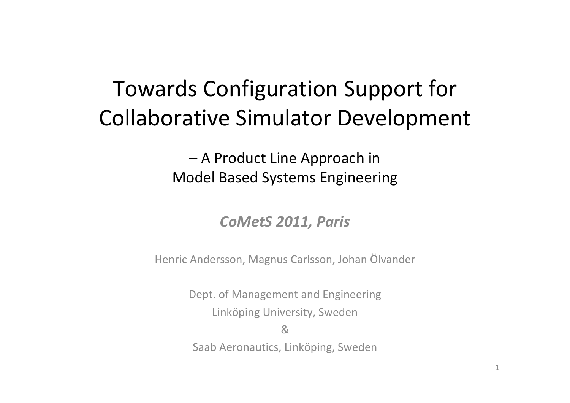# Towards Configuration Support for Collaborative Simulator Development

– A Product Line Approach in Model Based Systems Engineering

#### *CoMetS 2011, Paris*

Henric Andersson, Magnus Carlsson, Johan Ölvander

Dept. of Management and Engineering Linköping University, Sweden

&

Saab Aeronautics, Linköping, Sweden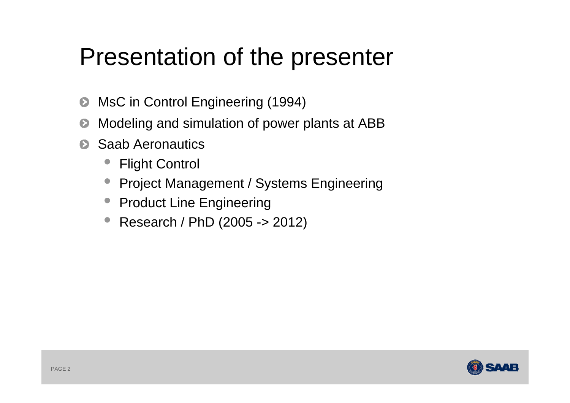# Presentation of the presenter

- MsC in Control Engineering (1994)  $\bullet$
- Modeling and simulation of power plants at ABB Đ
- Saab Aeronautics $\bullet$ 
	- •Flight Control
	- $\bullet$ Project Management / Systems Engineering
	- Product Line Engineering
	- •Research / PhD (2005 -> 2012)

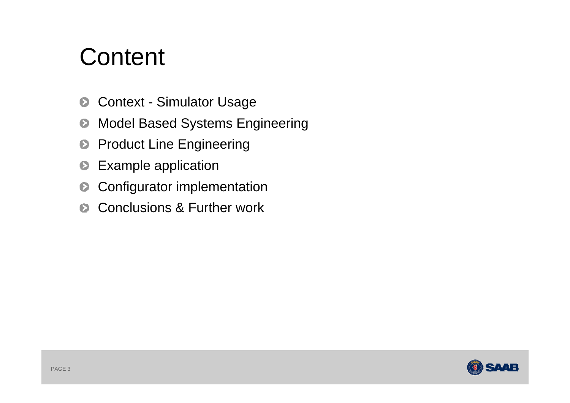# **Content**

- Context Simulator Usage  $\bullet$
- Model Based Systems Engineering Đ
- Product Line Engineering  $\bullet$
- Example application  $\bullet$
- Configurator implementation  $\bullet$
- Conclusions & Further work  $\bullet$

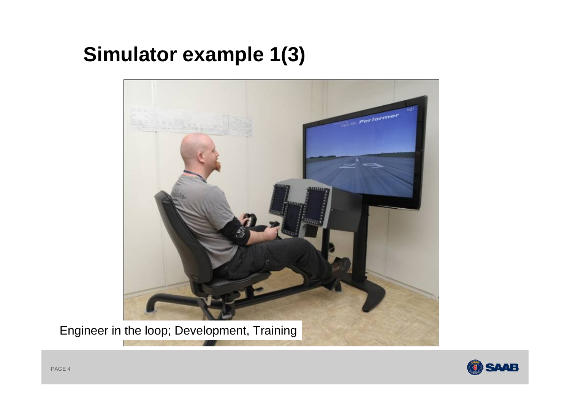## **Simulator example 1(3)**



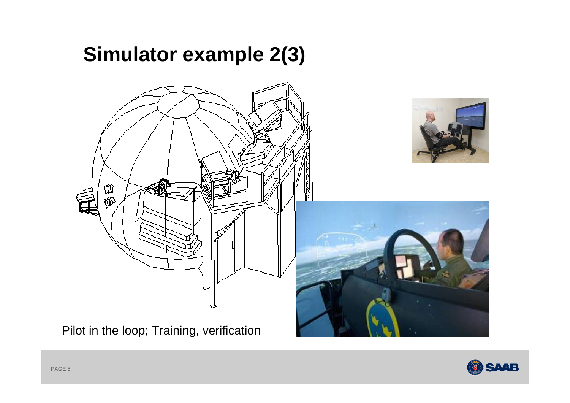## **Simulator example 2(3)**



Pilot in the loop; Training, verification

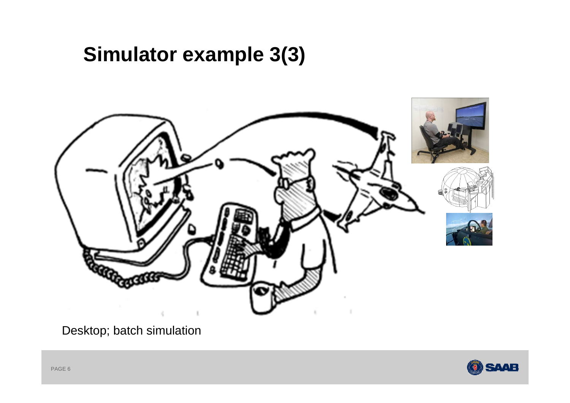## **Simulator example 3(3)**



Desktop; batch simulation

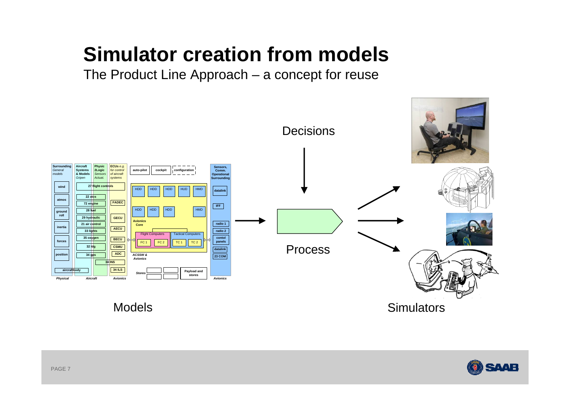## **Simulator creation from models**

The Product Line Approach – a concept for reuse



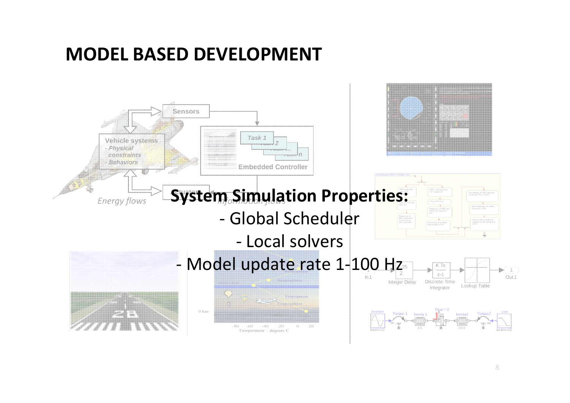#### **MODEL BASED DEVELOPMENT**

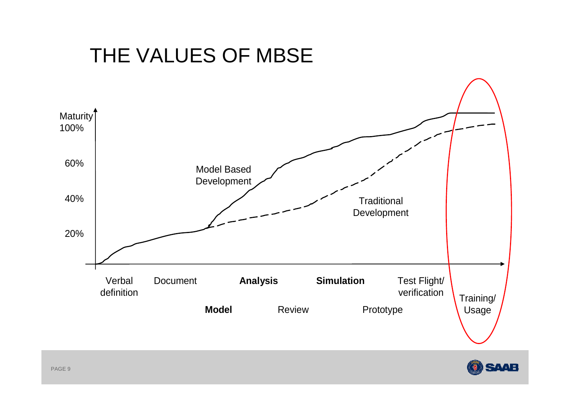## THE VALUES OF MBSE



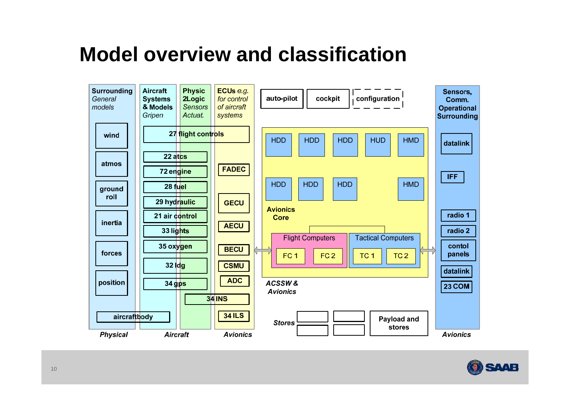### **Model overview and classification**



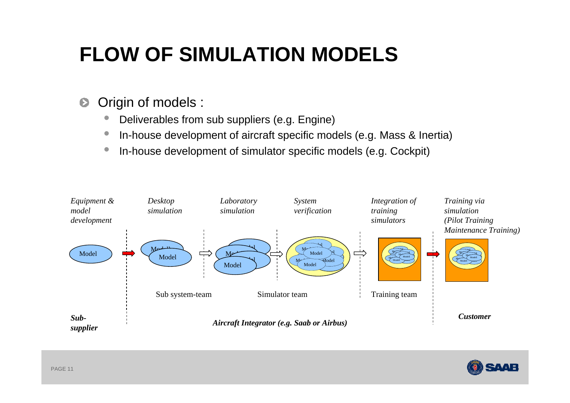# **FLOW OF SIMULATION MODELS**

- Origin of models :  $\bullet$ 
	- $\bullet$ Deliverables from sub suppliers (e.g. Engine)
	- $\bullet$ In-house development of aircraft specific models (e.g. Mass & Inertia)
	- $\bullet$ In-house development of simulator specific models (e.g. Cockpit)



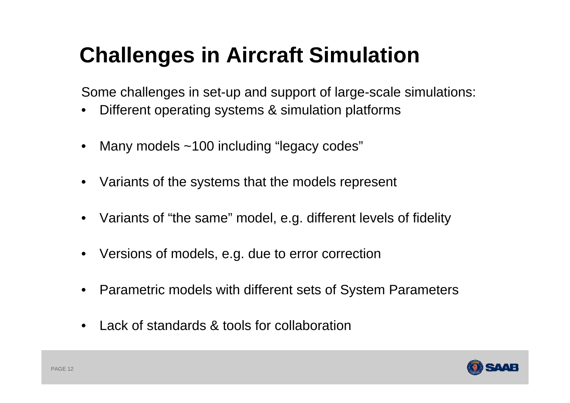# **Challenges in Aircraft Simulation**

Some challenges in set-up and support of large-scale simulations:

- •Different operating systems & simulation platforms
- •Many models ~100 including "legacy codes"
- •Variants of the systems that the models represent
- Variants of "the same" model, e.g. different levels of fidelity
- Versions of models, e.g. due to error correction
- •Parametric models with different sets of System Parameters
- •Lack of standards & tools for collaboration

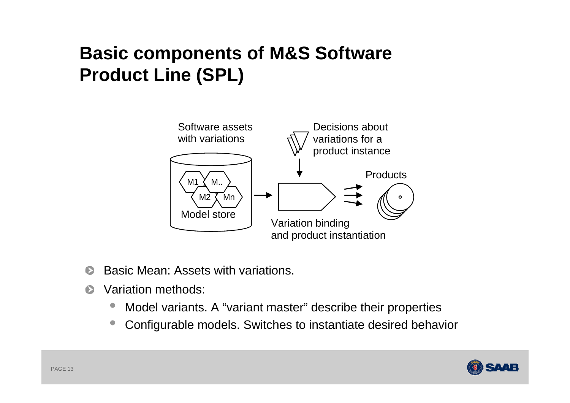### **Basic components of M&S Software Product Line (SPL)**



- Basic Mean: Assets with variations. Ð
- $\bullet$ Variation methods:
	- •Model variants. A "variant master" describe their properties
	- $\bullet$ Configurable models. Switches to instantiate desired behavior

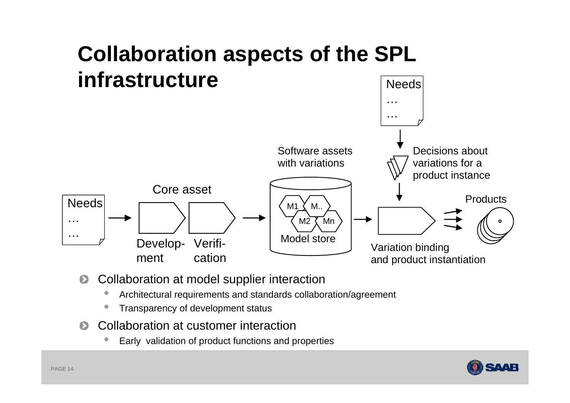

- Collaboration at model supplier interaction  $\bullet$ 
	- $\bullet$ Architectural requirements and standards collaboration/agreement
	- $\bullet$ Transparency of development status
- Collaboration at customer interaction $\bullet$ 
	- $\bullet$ Early validation of product functions and properties

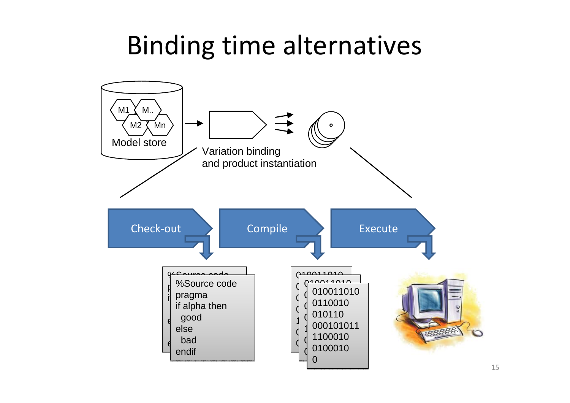#### $\mathbf{p}$ Binding time alternatives

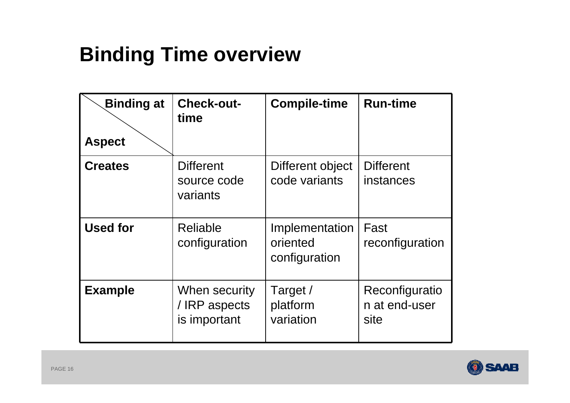# **Binding Time overview**

| <b>Binding at</b><br><b>Aspect</b> | <b>Check-out-</b><br>time                      | <b>Compile-time</b>                         | <b>Run-time</b>                         |
|------------------------------------|------------------------------------------------|---------------------------------------------|-----------------------------------------|
| <b>Creates</b>                     | <b>Different</b><br>source code<br>variants    | Different object<br>code variants           | <b>Different</b><br>instances           |
| <b>Used for</b>                    | <b>Reliable</b><br>configuration               | Implementation<br>oriented<br>configuration | Fast<br>reconfiguration                 |
| <b>Example</b>                     | When security<br>/ IRP aspects<br>is important | Target /<br>platform<br>variation           | Reconfiguratio<br>n at end-user<br>site |

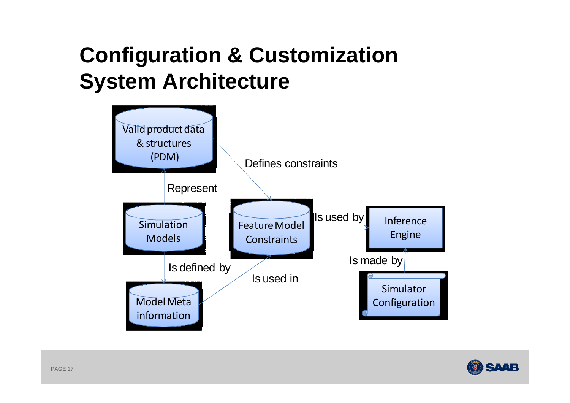# **Configuration & Customization System Architecture**



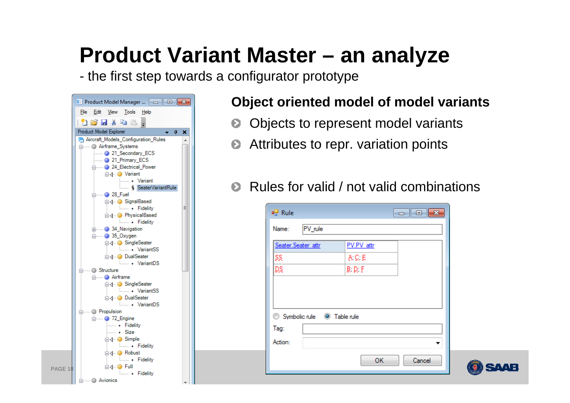# **Product Variant Master – an analyze**

the first step towards a configurator prototype

| Edit View Tools Help<br>File<br>Product Model Explorer<br>п.<br>×<br>Aircraft Models Configuration Rules<br><b>Election</b> Airframe_Systems<br>21 Secondary ECS<br>- 21_Primary_ECS<br>□ 24_Electrical_Power<br><b>E</b> -4 ·· ● Variant<br><b>Wariant</b><br>SeaterVariantRule |
|----------------------------------------------------------------------------------------------------------------------------------------------------------------------------------------------------------------------------------------------------------------------------------|
|                                                                                                                                                                                                                                                                                  |
|                                                                                                                                                                                                                                                                                  |
|                                                                                                                                                                                                                                                                                  |
|                                                                                                                                                                                                                                                                                  |
|                                                                                                                                                                                                                                                                                  |
|                                                                                                                                                                                                                                                                                  |
|                                                                                                                                                                                                                                                                                  |
|                                                                                                                                                                                                                                                                                  |
|                                                                                                                                                                                                                                                                                  |
|                                                                                                                                                                                                                                                                                  |
| <b>El 28_Fuel</b>                                                                                                                                                                                                                                                                |
| <b>E</b> √ C SignalBased                                                                                                                                                                                                                                                         |
| <b>Example Fidelity</b><br>Ξ                                                                                                                                                                                                                                                     |
| <b>E</b> -4 ·· ● PhysicalBased<br><b>Example Fidelity</b>                                                                                                                                                                                                                        |
| <b>El  ● 34 Navigation</b>                                                                                                                                                                                                                                                       |
| <b>E</b> ● 35_Oxygen                                                                                                                                                                                                                                                             |
| <b>E</b> √ SingleSeater                                                                                                                                                                                                                                                          |
| <b>MariantSS</b>                                                                                                                                                                                                                                                                 |
| <b>E</b> √ DualSeater                                                                                                                                                                                                                                                            |
| <b>MariantDS</b><br><b>A</b> Structure                                                                                                                                                                                                                                           |
| <b>Election</b> Airframe                                                                                                                                                                                                                                                         |
| <b>E</b> √ O SingleSeater                                                                                                                                                                                                                                                        |
| <b>Learner VariantSS</b>                                                                                                                                                                                                                                                         |
| <b>E</b> √ DualSeater                                                                                                                                                                                                                                                            |
| <b>MariantDS</b>                                                                                                                                                                                                                                                                 |
| <b>A</b> Propulsion<br><b>Emgine</b> 72_Engine                                                                                                                                                                                                                                   |
| └── Fidelity                                                                                                                                                                                                                                                                     |
|                                                                                                                                                                                                                                                                                  |
| ⊟ 4 ·· ● Simple                                                                                                                                                                                                                                                                  |
| <b>Example Fidelity</b>                                                                                                                                                                                                                                                          |
| <b>E</b> √ ● Robust                                                                                                                                                                                                                                                              |
| <b>Example Fidelity</b><br>⊟√ OFull                                                                                                                                                                                                                                              |
| <b>Example Fidelity</b>                                                                                                                                                                                                                                                          |
| ⊟------ i Avionics                                                                                                                                                                                                                                                               |

PAGE

#### **Object oriented model of model variants**

- Objects to represent model variants  $\bullet$
- Attributes to repr. variation points  $\bullet$
- Rules for valid / not valid combinations $\bullet$

| Seater.Seater_attr                      | PV.PV attr      |  |  |
|-----------------------------------------|-----------------|--|--|
| SS.                                     | A: C: E         |  |  |
| DS.                                     | $B$ ; $D$ ; $F$ |  |  |
|                                         |                 |  |  |
|                                         |                 |  |  |
|                                         |                 |  |  |
|                                         |                 |  |  |
| Symbolic rule @ Table rule<br>⊙<br>Tag: |                 |  |  |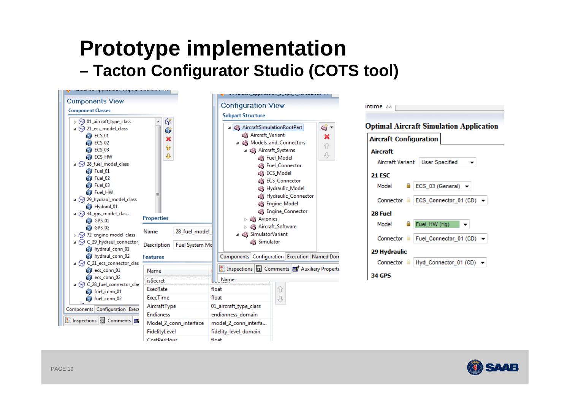#### **Prototype implementation – Tacton Configurator Studio (COTS tool)**





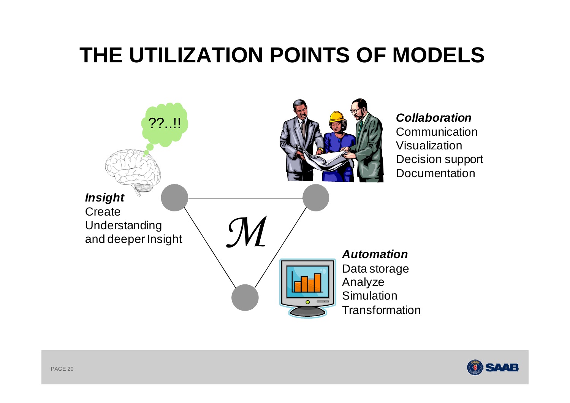# **THE UTILIZATION POINTS OF MODELS**